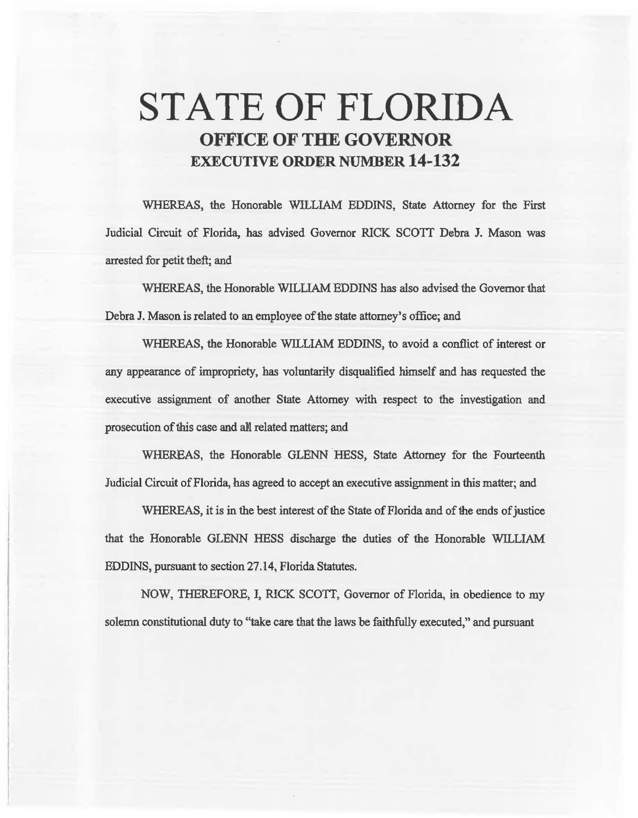# STATE OF FLORIDA OFFICE OF THE GOVERNOR EXECUTIVE ORDER NUMBER 14-132

WHEREAS, the Honorable WILLIAM EDDINS, State Attorney for the First Judicial Circuit of Florida, has advised Governor RICK SCOTT Debra J. Mason was arrested for petit theft; and

WHEREAS, the Honorable WILLIAM EDDINS has also advised the Governor that Debra J. Mason is related to an employee of the state attorney's office; and

WHEREAS, the Honorable WILLIAM EDDINS, to avoid a conflict of interest or any appearance of impropriety, has voluntarily disqualified himself and has requested the executive assignment of another State Attorney with respect to the investigation and prosecution of this case and all related matters; and

WHEREAS, the Honorable GLENN HESS, State Attorney for the Fourteenth Judicial Circuit of Florida, bas agreed to accept an executive assignment in this matter; and

WHEREAS, it is in the best interest of the State of Florida and of the ends of justice that the Honorable GLENN HESS discharge the duties of the Honorable WILLIAM EDDINS, pursuant to section 27.14, Florida Statutes.

NOW, THEREFORE, J, RICK SCOTI, Governor of Florida, in obedience to my solemn constitutional duty to "take care that the laws be faithfully executed," and pursuant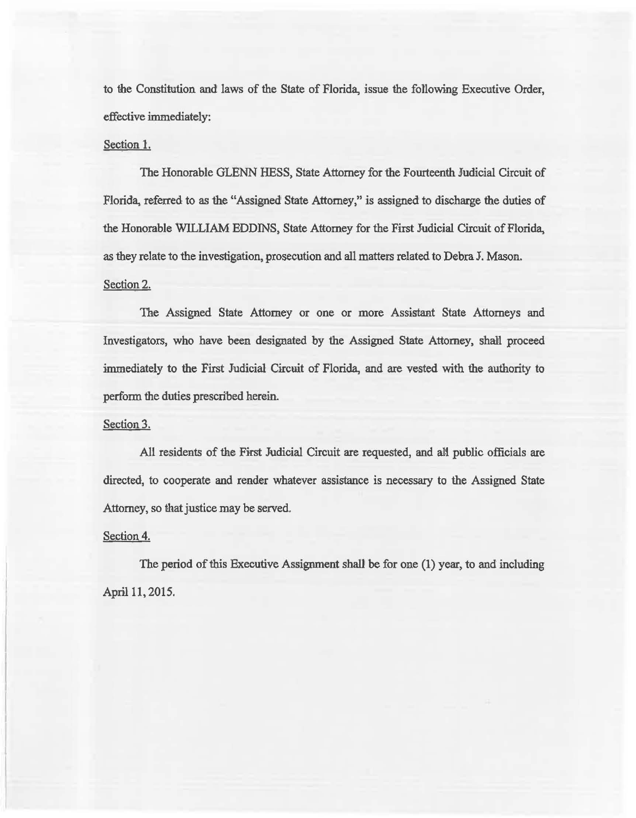to the Constitution and laws of the State of Florida, issue the following Executive Order, effective immediately:

## Section 1.

The Honorable GLENN HESS, State Attorney for the Fourteenth Judicial Circuit of Florida, referred to as the "Assigned State Attorney," is assigned to discharge the duties of the Honorable WILLIAM EDDINS, State Attorney for the First Judicial Circuit of Florida, as they relate to the investigation, prosecution and all matters related to Debra J. Mason.

# Section 2.

The Assigned State Attomey or one or more Assistant State Attorneys and Investigators, who have been designated by the Assigned State Attorney, shali proceed immediately to the First Judicial Circuit of Florida, and are vested with the authority to perfonn the duties prescribed herein.

### Section 3.

All residents of the First Judicial Circuit are requested, and all public officials are directed, to cooperate and render whatever assistance is necessary to the Assigned State Attorney, so that justice may be served.

#### Section 4.

The period of this Executive Assignment shall be for one (1) year, to and including April 11, 2015.